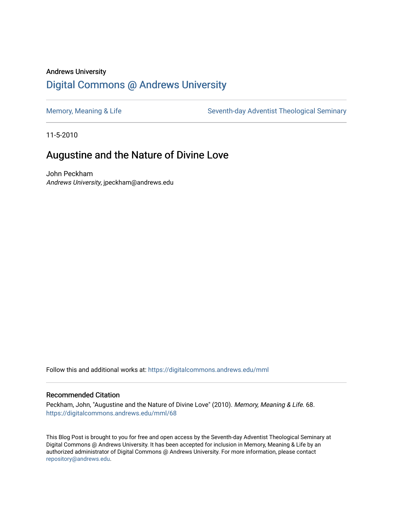## Andrews University [Digital Commons @ Andrews University](https://digitalcommons.andrews.edu/)

[Memory, Meaning & Life](https://digitalcommons.andrews.edu/mml) Seventh-day Adventist Theological Seminary

11-5-2010

# Augustine and the Nature of Divine Love

John Peckham Andrews University, jpeckham@andrews.edu

Follow this and additional works at: [https://digitalcommons.andrews.edu/mml](https://digitalcommons.andrews.edu/mml?utm_source=digitalcommons.andrews.edu%2Fmml%2F68&utm_medium=PDF&utm_campaign=PDFCoverPages) 

#### Recommended Citation

Peckham, John, "Augustine and the Nature of Divine Love" (2010). Memory, Meaning & Life. 68. [https://digitalcommons.andrews.edu/mml/68](https://digitalcommons.andrews.edu/mml/68?utm_source=digitalcommons.andrews.edu%2Fmml%2F68&utm_medium=PDF&utm_campaign=PDFCoverPages)

This Blog Post is brought to you for free and open access by the Seventh-day Adventist Theological Seminary at Digital Commons @ Andrews University. It has been accepted for inclusion in Memory, Meaning & Life by an authorized administrator of Digital Commons @ Andrews University. For more information, please contact [repository@andrews.edu](mailto:repository@andrews.edu).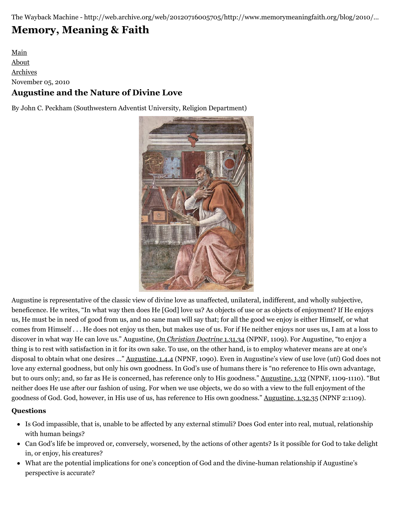The Wayback Machine - http://web.archive.org/web/20120716005705/http://www.memorymeaningfaith.org/blog/2010/…

# **[Memory, Meaning & Faith](http://web.archive.org/web/20120716005705/http://www.memorymeaningfaith.org/blog/)**

## [Main](http://web.archive.org/web/20120716005705/http://www.memorymeaningfaith.org/blog) [About](http://web.archive.org/web/20120716005705/http://www.memorymeaningfaith.org/blog/about.html) [Archives](http://web.archive.org/web/20120716005705/http://www.memorymeaningfaith.org/blog/archives.html) November 05, 2010 **Augustine and the Nature of Divine Love**

By John C. Peckham (Southwestern Adventist University, Religion Department)



Augustine is representative of the classic view of divine love as unaffected, unilateral, indifferent, and wholly subjective, beneficence. He writes, "In what way then does He [God] love us? As objects of use or as objects of enjoyment? If He enjoys us, He must be in need of good from us, and no sane man will say that; for all the good we enjoy is either Himself, or what comes from Himself . . . He does not enjoy us then, but makes use of us. For if He neither enjoys nor uses us, I am at a loss to discover in what way He can love us." Augustine, *[On Christian Doctrine](http://web.archive.org/web/20120716005705/http://en.wikisource.org/wiki/Nicene_and_Post-Nicene_Fathers:_Series_I/Volume_II/On_Christian_Doctrine/Book_I/Chapter_31)* 1.31.34 (NPNF, 1109). For Augustine, "to enjoy a thing is to rest with satisfaction in it for its own sake. To use, on the other hand, is to employ whatever means are at one's disposal to obtain what one desires …" [Augustine, 1.4.4](http://web.archive.org/web/20120716005705/http://en.wikisource.org/wiki/Nicene_and_Post-Nicene_Fathers:_Series_I/Volume_II/On_Christian_Doctrine/Book_I/Chapter_4) (NPNF, 1090). Even in Augustine's view of use love (*uti*) God does not love any external goodness, but only his own goodness. In God's use of humans there is "no reference to His own advantage, but to ours only; and, so far as He is concerned, has reference only to His goodness." [Augustine, 1.32](http://web.archive.org/web/20120716005705/http://en.wikisource.org/wiki/Nicene_and_Post-Nicene_Fathers:_Series_I/Volume_II/On_Christian_Doctrine/Book_I/Chapter_32) (NPNF, 1109-1110). "But neither does He use after our fashion of using. For when we use objects, we do so with a view to the full enjoyment of the goodness of God. God, however, in His use of us, has reference to His own goodness." [Augustine, 1.32.35](http://web.archive.org/web/20120716005705/http://en.wikisource.org/wiki/Nicene_and_Post-Nicene_Fathers:_Series_I/Volume_II/On_Christian_Doctrine/Book_I/Chapter_32) (NPNF 2:1109).

## **Questions**

- Is God impassible, that is, unable to be affected by any external stimuli? Does God enter into real, mutual, relationship with human beings?
- Can God's life be improved or, conversely, worsened, by the actions of other agents? Is it possible for God to take delight in, or enjoy, his creatures?
- What are the potential implications for one's conception of God and the divine-human relationship if Augustine's perspective is accurate?